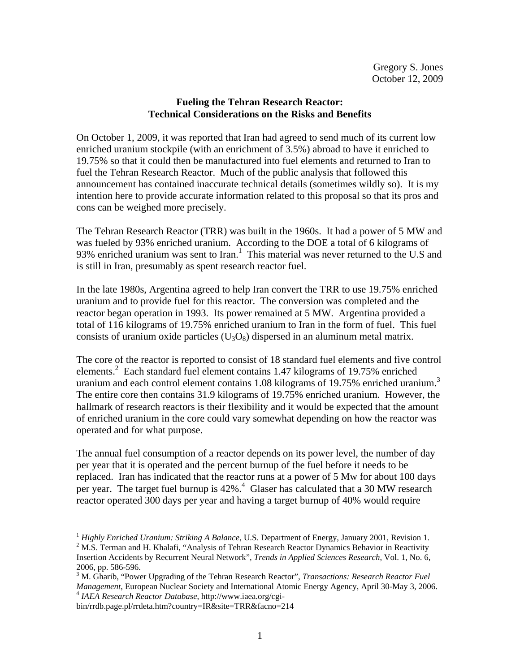## **Fueling the Tehran Research Reactor: Technical Considerations on the Risks and Benefits**

On October 1, 2009, it was reported that Iran had agreed to send much of its current low enriched uranium stockpile (with an enrichment of 3.5%) abroad to have it enriched to 19.75% so that it could then be manufactured into fuel elements and returned to Iran to fuel the Tehran Research Reactor. Much of the public analysis that followed this announcement has contained inaccurate technical details (sometimes wildly so). It is my intention here to provide accurate information related to this proposal so that its pros and cons can be weighed more precisely.

The Tehran Research Reactor (TRR) was built in the 1960s. It had a power of 5 MW and was fueled by 93% enriched uranium. According to the DOE a total of 6 kilograms of 93% enriched uranium was sent to Iran.<sup>1</sup> This material was never returned to the U.S and is still in Iran, presumably as spent research reactor fuel.

In the late 1980s, Argentina agreed to help Iran convert the TRR to use 19.75% enriched uranium and to provide fuel for this reactor. The conversion was completed and the reactor began operation in 1993. Its power remained at 5 MW. Argentina provided a total of 116 kilograms of 19.75% enriched uranium to Iran in the form of fuel. This fuel consists of uranium oxide particles  $(U_3O_8)$  dispersed in an aluminum metal matrix.

The core of the reactor is reported to consist of 18 standard fuel elements and five control elements.<sup>2</sup> Each standard fuel element contains 1.47 kilograms of 19.75% enriched uranium and each control element contains 1.08 kilograms of 19.75% enriched uranium.<sup>3</sup> The entire core then contains 31.9 kilograms of 19.75% enriched uranium. However, the hallmark of research reactors is their flexibility and it would be expected that the amount of enriched uranium in the core could vary somewhat depending on how the reactor was operated and for what purpose.

The annual fuel consumption of a reactor depends on its power level, the number of day per year that it is operated and the percent burnup of the fuel before it needs to be replaced. Iran has indicated that the reactor runs at a power of 5 Mw for about 100 days per year. The target fuel burnup is 42%.<sup>4</sup> Glaser has calculated that a 30 MW research reactor operated 300 days per year and having a target burnup of 40% would require

bin/rrdb.page.pl/rrdeta.htm?country=IR&site=TRR&facno=214

<sup>1</sup> *Highly Enriched Uranium: Striking A Balance*, U.S. Department of Energy, January 2001, Revision 1. 2

<sup>&</sup>lt;sup>2</sup> M.S. Terman and H. Khalafi, "Analysis of Tehran Research Reactor Dynamics Behavior in Reactivity Insertion Accidents by Recurrent Neural Network", *Trends in Applied Sciences Research*, Vol. 1, No. 6, 2006, pp. 586-596.

<sup>3</sup> M. Gharib, "Power Upgrading of the Tehran Research Reactor", *Transactions: Research Reactor Fuel Management*, European Nuclear Society and International Atomic Energy Agency, April 30-May 3, 2006. 4 *IAEA Research Reactor Database*, http://www.iaea.org/cgi-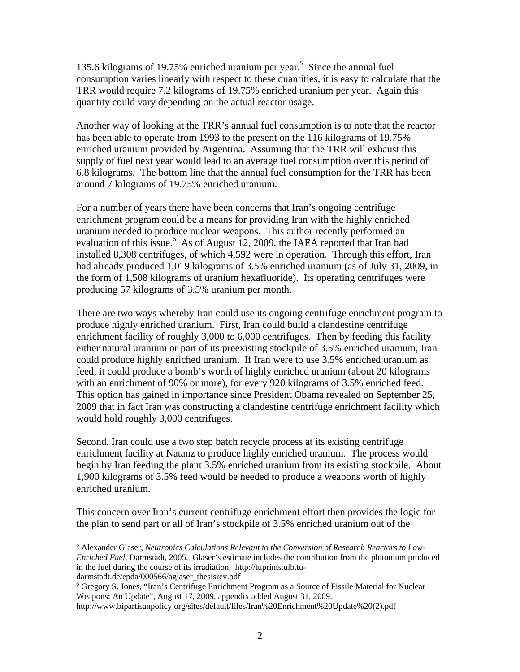135.6 kilograms of 19.75% enriched uranium per year.<sup>5</sup> Since the annual fuel consumption varies linearly with respect to these quantities, it is easy to calculate that the TRR would require 7.2 kilograms of 19.75% enriched uranium per year. Again this quantity could vary depending on the actual reactor usage.

Another way of looking at the TRR's annual fuel consumption is to note that the reactor has been able to operate from 1993 to the present on the 116 kilograms of 19.75% enriched uranium provided by Argentina. Assuming that the TRR will exhaust this supply of fuel next year would lead to an average fuel consumption over this period of 6.8 kilograms. The bottom line that the annual fuel consumption for the TRR has been around 7 kilograms of 19.75% enriched uranium.

For a number of years there have been concerns that Iran's ongoing centrifuge enrichment program could be a means for providing Iran with the highly enriched uranium needed to produce nuclear weapons. This author recently performed an evaluation of this issue.<sup>6</sup> As of August 12, 2009, the IAEA reported that Iran had installed 8,308 centrifuges, of which 4,592 were in operation. Through this effort, Iran had already produced 1,019 kilograms of 3.5% enriched uranium (as of July 31, 2009, in the form of 1,508 kilograms of uranium hexafluoride). Its operating centrifuges were producing 57 kilograms of 3.5% uranium per month.

There are two ways whereby Iran could use its ongoing centrifuge enrichment program to produce highly enriched uranium. First, Iran could build a clandestine centrifuge enrichment facility of roughly 3,000 to 6,000 centrifuges. Then by feeding this facility either natural uranium or part of its preexisting stockpile of 3.5% enriched uranium, Iran could produce highly enriched uranium. If Iran were to use 3.5% enriched uranium as feed, it could produce a bomb's worth of highly enriched uranium (about 20 kilograms with an enrichment of 90% or more), for every 920 kilograms of 3.5% enriched feed. This option has gained in importance since President Obama revealed on September 25, 2009 that in fact Iran was constructing a clandestine centrifuge enrichment facility which would hold roughly 3,000 centrifuges.

Second, Iran could use a two step batch recycle process at its existing centrifuge enrichment facility at Natanz to produce highly enriched uranium. The process would begin by Iran feeding the plant 3.5% enriched uranium from its existing stockpile. About 1,900 kilograms of 3.5% feed would be needed to produce a weapons worth of highly enriched uranium.

This concern over Iran's current centrifuge enrichment effort then provides the logic for the plan to send part or all of Iran's stockpile of 3.5% enriched uranium out of the

<sup>5</sup> Alexander Glaser, *Neutronics Calculations Relevant to the Conversion of Research Reactors to Low-Enriched Fuel*, Darmstadt, 2005. Glaser's estimate includes the contribution from the plutonium produced in the fuel during the course of its irradiation. http://tuprints.ulb.tu-

darmstadt.de/epda/000566/aglaser\_thesisrev.pdf

<sup>&</sup>lt;sup>6</sup> Gregory S. Jones, "Iran's Centrifuge Enrichment Program as a Source of Fissile Material for Nuclear Weapons: An Update", August 17, 2009, appendix added August 31, 2009.

http://www.bipartisanpolicy.org/sites/default/files/Iran%20Enrichment%20Update%20(2).pdf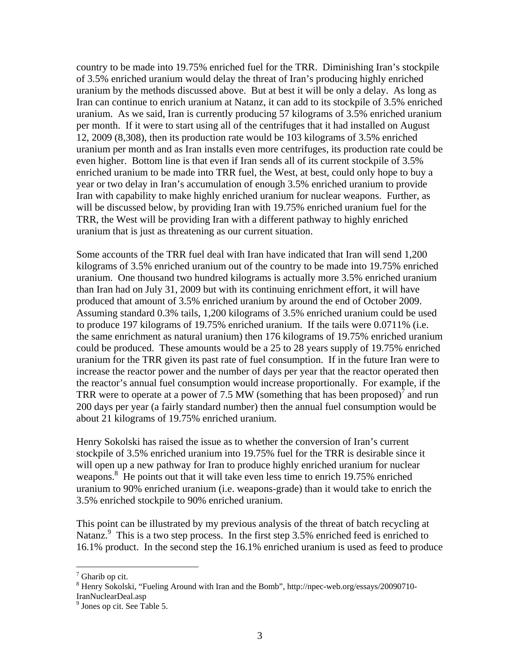country to be made into 19.75% enriched fuel for the TRR. Diminishing Iran's stockpile of 3.5% enriched uranium would delay the threat of Iran's producing highly enriched uranium by the methods discussed above. But at best it will be only a delay. As long as Iran can continue to enrich uranium at Natanz, it can add to its stockpile of 3.5% enriched uranium. As we said, Iran is currently producing 57 kilograms of 3.5% enriched uranium per month. If it were to start using all of the centrifuges that it had installed on August 12, 2009 (8,308), then its production rate would be 103 kilograms of 3.5% enriched uranium per month and as Iran installs even more centrifuges, its production rate could be even higher. Bottom line is that even if Iran sends all of its current stockpile of 3.5% enriched uranium to be made into TRR fuel, the West, at best, could only hope to buy a year or two delay in Iran's accumulation of enough 3.5% enriched uranium to provide Iran with capability to make highly enriched uranium for nuclear weapons. Further, as will be discussed below, by providing Iran with 19.75% enriched uranium fuel for the TRR, the West will be providing Iran with a different pathway to highly enriched uranium that is just as threatening as our current situation.

Some accounts of the TRR fuel deal with Iran have indicated that Iran will send 1,200 kilograms of 3.5% enriched uranium out of the country to be made into 19.75% enriched uranium. One thousand two hundred kilograms is actually more 3.5% enriched uranium than Iran had on July 31, 2009 but with its continuing enrichment effort, it will have produced that amount of 3.5% enriched uranium by around the end of October 2009. Assuming standard 0.3% tails, 1,200 kilograms of 3.5% enriched uranium could be used to produce 197 kilograms of 19.75% enriched uranium. If the tails were 0.0711% (i.e. the same enrichment as natural uranium) then 176 kilograms of 19.75% enriched uranium could be produced. These amounts would be a 25 to 28 years supply of 19.75% enriched uranium for the TRR given its past rate of fuel consumption. If in the future Iran were to increase the reactor power and the number of days per year that the reactor operated then the reactor's annual fuel consumption would increase proportionally. For example, if the TRR were to operate at a power of 7.5 MW (something that has been proposed) $\delta$  and run 200 days per year (a fairly standard number) then the annual fuel consumption would be about 21 kilograms of 19.75% enriched uranium.

Henry Sokolski has raised the issue as to whether the conversion of Iran's current stockpile of 3.5% enriched uranium into 19.75% fuel for the TRR is desirable since it will open up a new pathway for Iran to produce highly enriched uranium for nuclear weapons.<sup>8</sup> He points out that it will take even less time to enrich 19.75% enriched uranium to 90% enriched uranium (i.e. weapons-grade) than it would take to enrich the 3.5% enriched stockpile to 90% enriched uranium.

This point can be illustrated by my previous analysis of the threat of batch recycling at Natanz.<sup>9</sup> This is a two step process. In the first step 3.5% enriched feed is enriched to 16.1% product. In the second step the 16.1% enriched uranium is used as feed to produce

 $7$  Gharib op cit.

<sup>&</sup>lt;sup>8</sup> Henry Sokolski, "Fueling Around with Iran and the Bomb", http://npec-web.org/essays/20090710-IranNuclearDeal.asp

<sup>9</sup> Jones op cit. See Table 5.